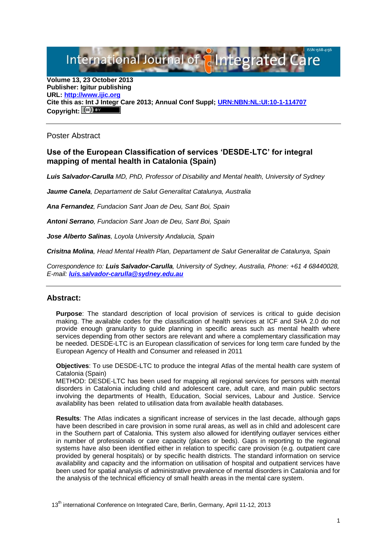International Journal of **Plantegrated C** 

**Volume 13, 23 October 2013 Publisher: Igitur publishing URL[: http://www.ijic.org](http://www.ijic.org/) Cite this as: Int J Integr Care 2013; Annual Conf Suppl; [URN:NBN:NL:UI:10-1-114707](http://persistent-identifier.nl/?identifier=URN:NBN:NL:UI:10-1-114707)** Copyright:  $(cc)$  **E**Y

Poster Abstract

## **Use of the European Classification of services 'DESDE-LTC' for integral mapping of mental health in Catalonia (Spain)**

*Luis Salvador-Carulla MD, PhD, Professor of Disability and Mental health, University of Sydney*

*Jaume Canela, Departament de Salut Generalitat Catalunya, Australia*

*Ana Fernandez, Fundacion Sant Joan de Deu, Sant Boi, Spain*

*Antoni Serrano, Fundacion Sant Joan de Deu, Sant Boi, Spain*

*Jose Alberto Salinas, Loyola University Andalucia, Spain*

*Crisitna Molina, Head Mental Health Plan, Departament de Salut Generalitat de Catalunya, Spain*

*Correspondence to: Luis Salvador-Carulla, University of Sydney, Australia, Phone: +61 4 68440028, E-mail: [luis.salvador-carulla@sydney.edu.au](mailto:luis.salvador-carulla@sydney.edu.au)*

## **Abstract:**

**Purpose**: The standard description of local provision of services is critical to guide decision making. The available codes for the classification of health services at ICF and SHA 2.0 do not provide enough granularity to guide planning in specific areas such as mental health where services depending from other sectors are relevant and where a complementary classification may be needed. DESDE-LTC is an European classification of services for long term care funded by the European Agency of Health and Consumer and released in 2011

**Objectives**: To use DESDE-LTC to produce the integral Atlas of the mental health care system of Catalonia (Spain)

METHOD: DESDE-LTC has been used for mapping all regional services for persons with mental disorders in Catalonia including child and adolescent care, adult care, and main public sectors involving the departments of Health, Education, Social services, Labour and Justice. Service availability has been related to utilisation data from available health databases.

**Results**: The Atlas indicates a significant increase of services in the last decade, although gaps have been described in care provision in some rural areas, as well as in child and adolescent care in the Southern part of Catalonia. This system also allowed for identifying outlayer services either in number of professionals or care capacity (places or beds). Gaps in reporting to the regional systems have also been identified either in relation to specific care provision (e.g. outpatient care provided by general hospitals) or by specific health districts. The standard information on service availability and capacity and the information on utilisation of hospital and outpatient services have been used for spatial analysis of administrative prevalence of mental disorders in Catalonia and for the analysis of the technical efficiency of small health areas in the mental care system.

13<sup>th</sup> international Conference on Integrated Care, Berlin, Germany, April 11-12, 2013